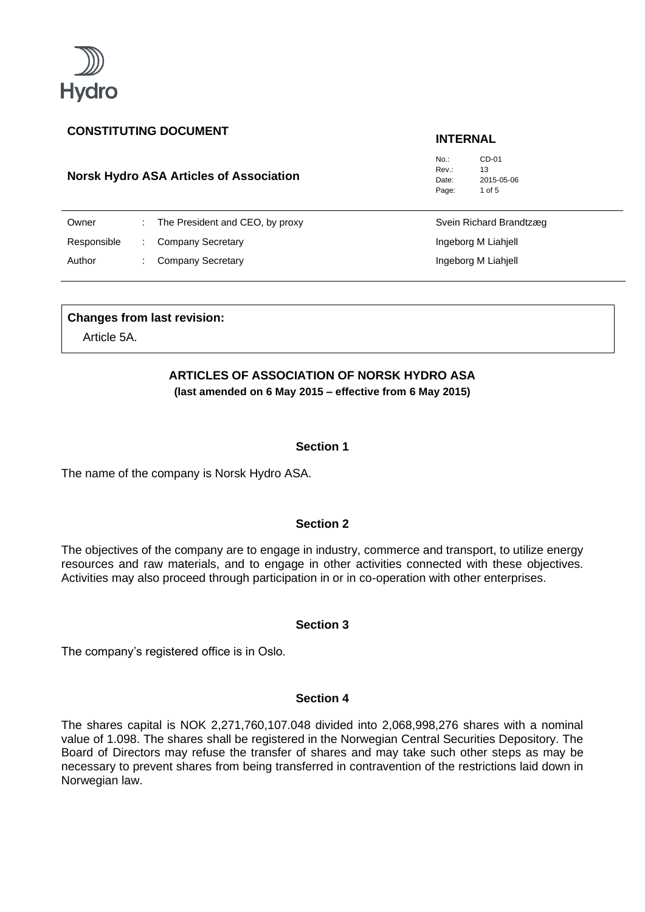

# **Norsk Hydro ASA Articles of Association**

No.: CD-01 Rev<sup>.</sup> 13 Date: 2015-05-06 Page: 1 of 5

| Owner       | The President and CEO, by proxy | Svein Richard Brandtzæg |
|-------------|---------------------------------|-------------------------|
| Responsible | Company Secretary               | Ingeborg M Liahjell     |
| Author      | Company Secretary               | Ingeborg M Liahjell     |

### **Changes from last revision:**

Article 5A.

# **ARTICLES OF ASSOCIATION OF NORSK HYDRO ASA**

**(last amended on 6 May 2015 – effective from 6 May 2015)**

## **Section 1**

The name of the company is Norsk Hydro ASA.

# **Section 2**

The objectives of the company are to engage in industry, commerce and transport, to utilize energy resources and raw materials, and to engage in other activities connected with these objectives. Activities may also proceed through participation in or in co-operation with other enterprises.

### **Section 3**

The company's registered office is in Oslo.

# **Section 4**

The shares capital is NOK 2,271,760,107.048 divided into 2,068,998,276 shares with a nominal value of 1.098. The shares shall be registered in the Norwegian Central Securities Depository. The Board of Directors may refuse the transfer of shares and may take such other steps as may be necessary to prevent shares from being transferred in contravention of the restrictions laid down in Norwegian law.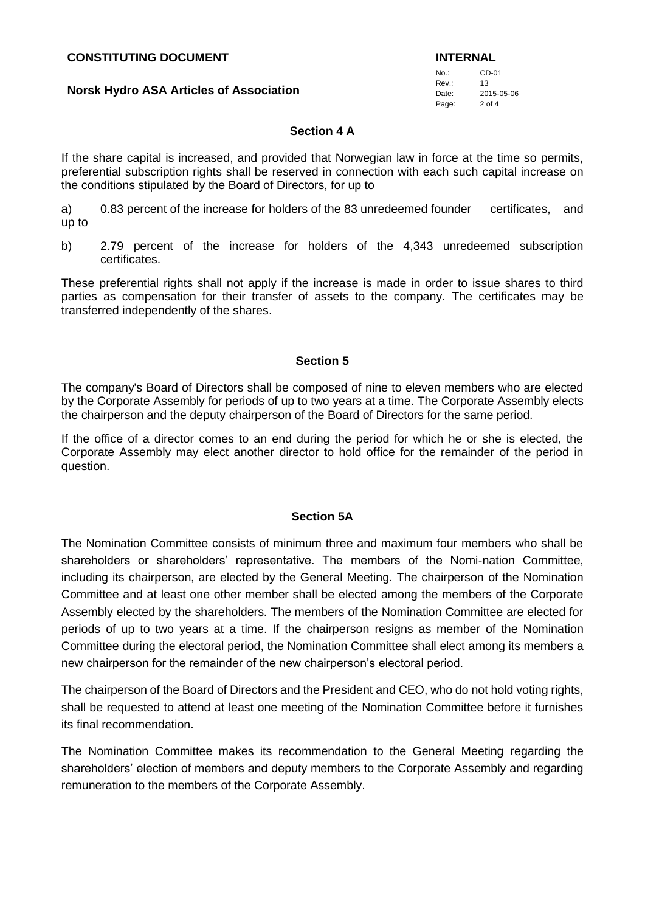#### **Norsk Hydro ASA Articles of Association**

No.: CD-01  $\mathsf{R}_{\mathsf{PV}}$ . 13 Date: 2015-05-06 Page: 2 of 4

### **Section 4 A**

If the share capital is increased, and provided that Norwegian law in force at the time so permits, preferential subscription rights shall be reserved in connection with each such capital increase on the conditions stipulated by the Board of Directors, for up to

a) 0.83 percent of the increase for holders of the 83 unredeemed founder certificates, and up to

b) 2.79 percent of the increase for holders of the 4,343 unredeemed subscription certificates.

These preferential rights shall not apply if the increase is made in order to issue shares to third parties as compensation for their transfer of assets to the company. The certificates may be transferred independently of the shares.

#### **Section 5**

The company's Board of Directors shall be composed of nine to eleven members who are elected by the Corporate Assembly for periods of up to two years at a time. The Corporate Assembly elects the chairperson and the deputy chairperson of the Board of Directors for the same period.

If the office of a director comes to an end during the period for which he or she is elected, the Corporate Assembly may elect another director to hold office for the remainder of the period in question.

#### **Section 5A**

The Nomination Committee consists of minimum three and maximum four members who shall be shareholders or shareholders' representative. The members of the Nomi-nation Committee, including its chairperson, are elected by the General Meeting. The chairperson of the Nomination Committee and at least one other member shall be elected among the members of the Corporate Assembly elected by the shareholders. The members of the Nomination Committee are elected for periods of up to two years at a time. If the chairperson resigns as member of the Nomination Committee during the electoral period, the Nomination Committee shall elect among its members a new chairperson for the remainder of the new chairperson's electoral period.

The chairperson of the Board of Directors and the President and CEO, who do not hold voting rights, shall be requested to attend at least one meeting of the Nomination Committee before it furnishes its final recommendation.

The Nomination Committee makes its recommendation to the General Meeting regarding the shareholders' election of members and deputy members to the Corporate Assembly and regarding remuneration to the members of the Corporate Assembly.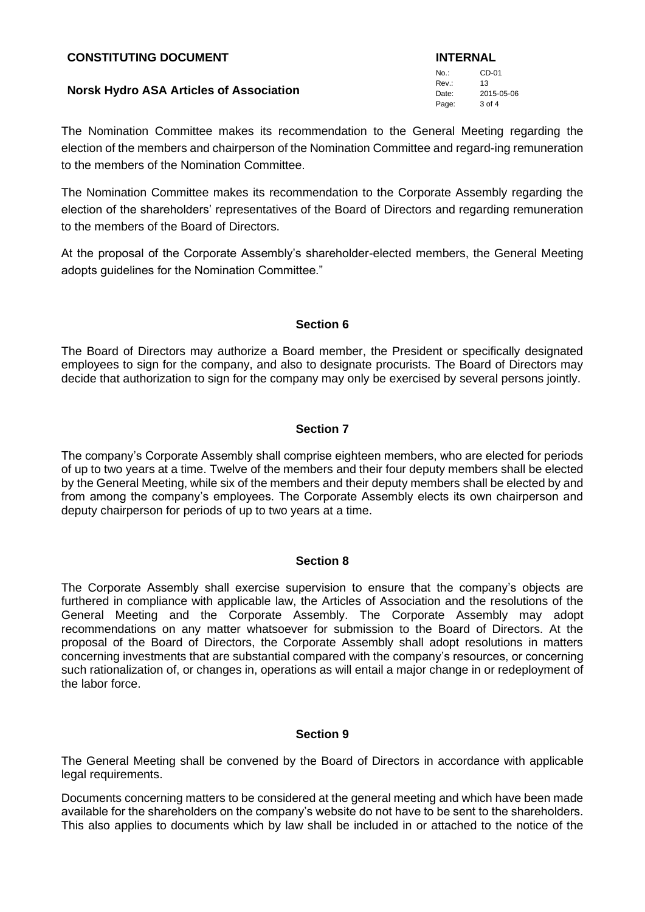### **Norsk Hydro ASA Articles of Association**

The Nomination Committee makes its recommendation to the General Meeting regarding the election of the members and chairperson of the Nomination Committee and regard-ing remuneration to the members of the Nomination Committee.

The Nomination Committee makes its recommendation to the Corporate Assembly regarding the election of the shareholders' representatives of the Board of Directors and regarding remuneration to the members of the Board of Directors.

At the proposal of the Corporate Assembly's shareholder-elected members, the General Meeting adopts guidelines for the Nomination Committee."

# **Section 6**

The Board of Directors may authorize a Board member, the President or specifically designated employees to sign for the company, and also to designate procurists. The Board of Directors may decide that authorization to sign for the company may only be exercised by several persons jointly.

# **Section 7**

The company's Corporate Assembly shall comprise eighteen members, who are elected for periods of up to two years at a time. Twelve of the members and their four deputy members shall be elected by the General Meeting, while six of the members and their deputy members shall be elected by and from among the company's employees. The Corporate Assembly elects its own chairperson and deputy chairperson for periods of up to two years at a time.

#### **Section 8**

The Corporate Assembly shall exercise supervision to ensure that the company's objects are furthered in compliance with applicable law, the Articles of Association and the resolutions of the General Meeting and the Corporate Assembly. The Corporate Assembly may adopt recommendations on any matter whatsoever for submission to the Board of Directors. At the proposal of the Board of Directors, the Corporate Assembly shall adopt resolutions in matters concerning investments that are substantial compared with the company's resources, or concerning such rationalization of, or changes in, operations as will entail a major change in or redeployment of the labor force.

### **Section 9**

The General Meeting shall be convened by the Board of Directors in accordance with applicable legal requirements.

Documents concerning matters to be considered at the general meeting and which have been made available for the shareholders on the company's website do not have to be sent to the shareholders. This also applies to documents which by law shall be included in or attached to the notice of the

No.: CD-01 Rev.: 13 Date: 2015-05-06 Page: 3 of 4